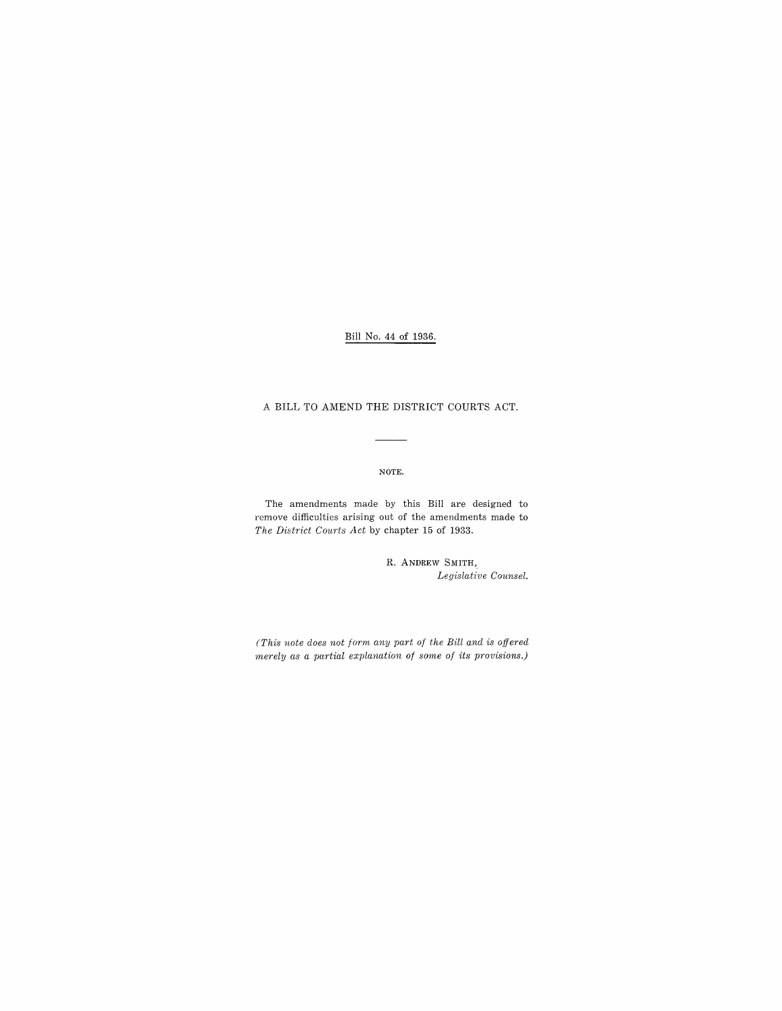# Bill No. 44 of 1936.

## A BILL TO AMEND THE DISTRICT COURTS ACT.

 $\frac{1}{1}$ 

### NOTE.

The amendments made by this Bill are designed to remove difficulties arising out of the amendments made to *The District Courts Act* by chapter 15 of 1933.

> R. ANDREW SMITH, *Legislative Counsel.*

*(This note does not form any part of the Bill and is offered merely as a partial explanation of some of its provisions.)*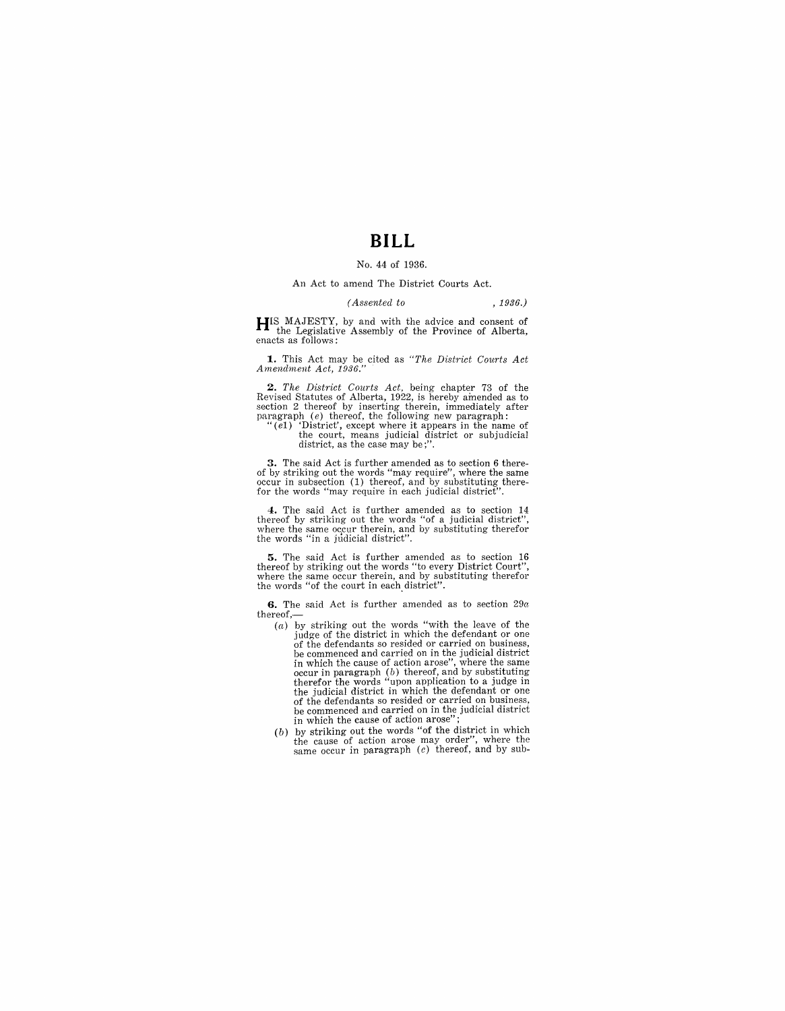# **BILL**

### No. 44 of 1936.

#### An Act to amend The District Courts Act.

#### *(Assented to* , 1936.)

**HIS** MAJESTY, by and with the advice and consent of the Legislative Assembly of the Province of Alberta, enacts as follows:

**1.** This Act may be cited as *"The District Courts Act Amend'ment Act, 1936."* 

**2.** The District Courts Act, being chapter 73 of the Revised Statutes of Alberta, 1922, is hereby amended as to section 2 thereof by inserting therein, immediately after paragraph (e) thereof, the following new paragraph

 $"(\tilde{e}_1)$  'District', except where it appears in the name of the court, means judicial district or subjudicial district, as the case may be;"

**3.** The said Act is further amended as to section 6 there-<br>of by striking out the words "may require", where the same<br>occur in subsection (1) thereof, and by substituting therefor the words "may require in each judicial district"

4. The said Act is further amended as to section 14 thereof by striking out the words "of a judicial district", where the same oc,Cur therein, and by substituting therefor the words "in a jtldicial district".

**5.** The said Act is further amended as to section 16 thereof by striking out the words "to every District Court", where the same occur therein, and by substituting therefor the words "of the court in each district".

**6.** The said Act is further amended as to section  $29a$  $thereof,$ 

- (a) by striking out the words "with the leave of the judge of the district in which the defendant or one of the defendants so resided or carried on business, be commenced and carried on in the judicial district in which the cause of action arose", where the same occur in paragraph (b) thereof, and by substituting therefor the words "upon application to a judge in the judicial district in which the defendant or one of the defendants so resided or carried on business, be commenced and carried on in the judicial district in which the cause of action arose"
- (b) by striking out the words "of the district in which  $t_{\text{th}}$  cause of action arose may order", where the same occur in paragraph  $(c)$  thereof, and by sub-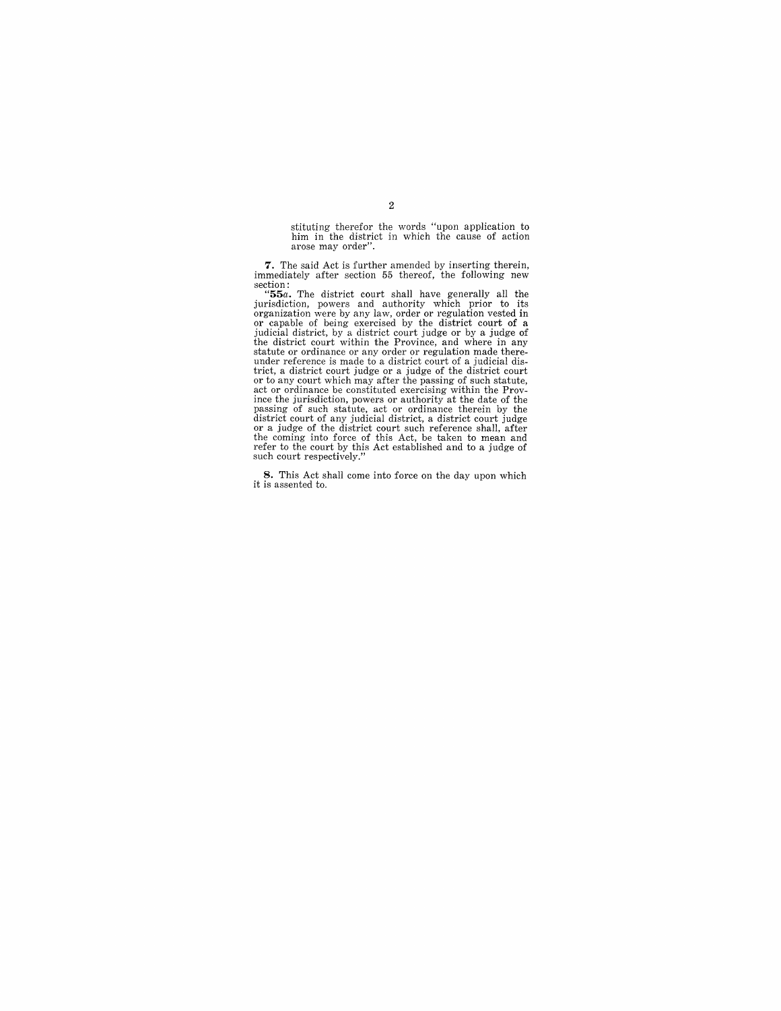stituting therefor the words "upon application to him in the district in which the cause of action arose may order".

**7.** The said Act is further amended by inserting therein, immediately after section 55 thereof, the following new section: **"55a.** The district court shall have generally all the

**but in the user can authority which prior to its**<br>organization, powers and authority which prior to its<br>organization were by any law, order or regulation vested in organization were by any law, order or regulation vested in<br>or capable of being exercised by the district court of a<br>judicial district, by a district court judge or by a judge of<br>the district court within the Province, and under reference is made to a district court of a judicial district, a district court judge or a judge of the district court<br>or to any court which may after the passing of such statute,<br>act or ordinance be constituted exercising within the Prov-<br>ince the jurisdiction, powers or autho district court of any judicial district, a district court judge<br>or a judge of the district court such reference shall, after<br>the coming into force of this Act, be taken to mean and<br>refer to the court by this Act establishe

**8.** This Act shall come into force on the day upon which it is assented to.

## 2